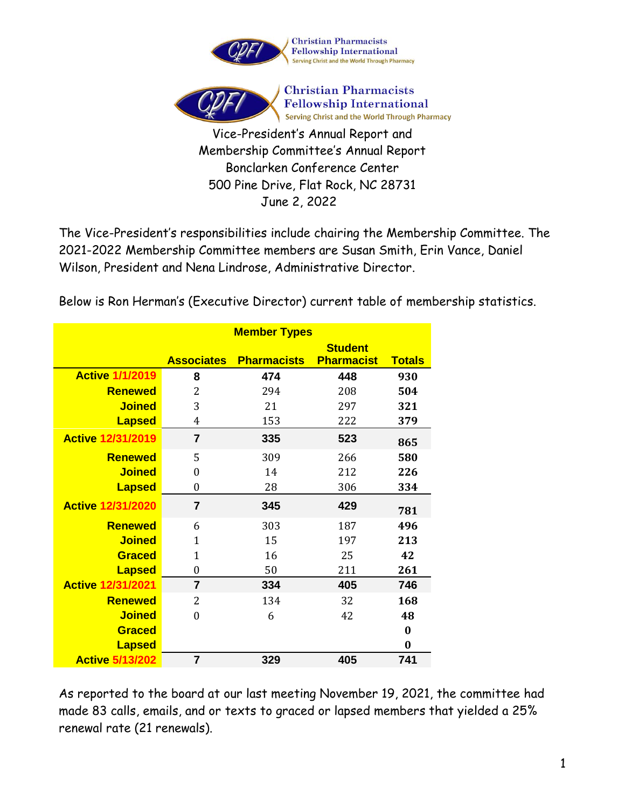



Vice-President's Annual Report and Membership Committee's Annual Report Bonclarken Conference Center 500 Pine Drive, Flat Rock, NC 28731 June 2, 2022

The Vice-President's responsibilities include chairing the Membership Committee. The 2021-2022 Membership Committee members are Susan Smith, Erin Vance, Daniel Wilson, President and Nena Lindrose, Administrative Director.

Below is Ron Herman's (Executive Director) current table of membership statistics.

|                          | <b>Member Types</b> |                    |                   |               |
|--------------------------|---------------------|--------------------|-------------------|---------------|
|                          |                     |                    | <b>Student</b>    |               |
|                          | <b>Associates</b>   | <b>Pharmacists</b> | <b>Pharmacist</b> | <b>Totals</b> |
| <b>Active 1/1/2019</b>   | 8                   | 474                | 448               | 930           |
| <b>Renewed</b>           | $\overline{2}$      | 294                | 208               | 504           |
| <b>Joined</b>            | 3                   | 21                 | 297               | 321           |
| <b>Lapsed</b>            | 4                   | 153                | 222               | 379           |
| <b>Active 12/31/2019</b> | $\overline{7}$      | 335                | 523               | 865           |
| <b>Renewed</b>           | 5                   | 309                | 266               | 580           |
| <b>Joined</b>            | $\boldsymbol{0}$    | 14                 | 212               | 226           |
| <b>Lapsed</b>            | $\boldsymbol{0}$    | 28                 | 306               | 334           |
| <b>Active 12/31/2020</b> | $\overline{7}$      | 345                | 429               | 781           |
| <b>Renewed</b>           | 6                   | 303                | 187               | 496           |
| <b>Joined</b>            | $\mathbf{1}$        | 15                 | 197               | 213           |
| <b>Graced</b>            | $\mathbf 1$         | 16                 | 25                | 42            |
| <b>Lapsed</b>            | $\boldsymbol{0}$    | 50                 | 211               | 261           |
| <b>Active 12/31/2021</b> | $\overline{7}$      | 334                | 405               | 746           |
| <b>Renewed</b>           | 2                   | 134                | 32                | 168           |
| <b>Joined</b>            | $\boldsymbol{0}$    | 6                  | 42                | 48            |
| <b>Graced</b>            |                     |                    |                   | $\bf{0}$      |
| <b>Lapsed</b>            |                     |                    |                   | $\bf{0}$      |
| <b>Active 5/13/202</b>   | $\overline{7}$      | 329                | 405               | 741           |

As reported to the board at our last meeting November 19, 2021, the committee had made 83 calls, emails, and or texts to graced or lapsed members that yielded a 25% renewal rate (21 renewals).